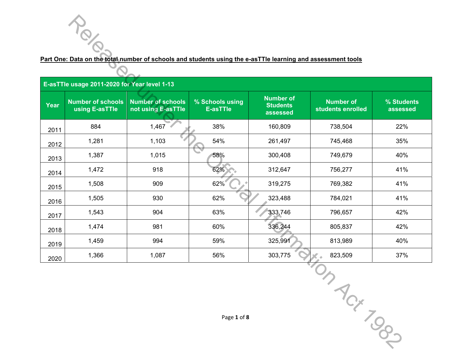|                                              |                                            | Part One: Data on the total number of schools and students using the e-asTTIe learning and assessment tools |                                    |                                                 |                                       |                        |  |
|----------------------------------------------|--------------------------------------------|-------------------------------------------------------------------------------------------------------------|------------------------------------|-------------------------------------------------|---------------------------------------|------------------------|--|
| E-asTTle usage 2011-2020 for Year level 1-13 |                                            |                                                                                                             |                                    |                                                 |                                       |                        |  |
| Year                                         | <b>Number of schools</b><br>using E-asTTle | <b>Number of schools</b><br>not using E-asTTle                                                              | % Schools using<br><b>E-asTTle</b> | <b>Number of</b><br><b>Students</b><br>assessed | <b>Number of</b><br>students enrolled | % Students<br>assessed |  |
| 2011                                         | 884                                        | 1,467                                                                                                       | 38%                                | 160,809                                         | 738,504                               | 22%                    |  |
| 2012                                         | 1,281                                      | 1,103                                                                                                       | 54%                                | 261,497                                         | 745,468                               | 35%                    |  |
| 2013                                         | 1,387                                      | 1,015                                                                                                       | 58%                                | 300,408                                         | 749,679                               | 40%                    |  |
| 2014                                         | 1,472                                      | 918                                                                                                         | 62%                                | 312,647                                         | 756,277                               | 41%                    |  |
| 2015                                         | 1,508                                      | 909                                                                                                         | 62%                                | 319,275                                         | 769,382                               | 41%                    |  |
| 2016                                         | 1,505                                      | 930                                                                                                         | 62%                                | 323,488                                         | 784,021                               | 41%                    |  |
| 2017                                         | 1,543                                      | 904                                                                                                         | 63%                                | 333,746                                         | 796,657                               | 42%                    |  |
| 2018                                         | 1,474                                      | 981                                                                                                         | 60%                                | 336,244                                         | 805,837                               | 42%                    |  |
| 2019                                         | 1,459                                      | 994                                                                                                         | 59%                                | 325,991                                         | 813,989                               | 40%                    |  |
| 2020                                         | 1,366                                      | 1,087                                                                                                       | 56%                                | 303,775                                         | 823,509                               | 37%                    |  |
|                                              |                                            |                                                                                                             |                                    |                                                 |                                       |                        |  |
|                                              |                                            |                                                                                                             | Page 1 of 8                        |                                                 | CH TOOL                               |                        |  |

TON TONY DOS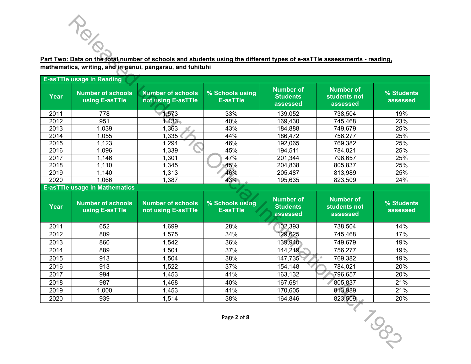## **Part Two: Data on the total number of schools and students using the different types of e-asTTle assessments - reading, mathematics, writing, and in pānui, pāngarau, and tuhituhi**

|      | Part Two: Data on the total number of schools and students using the different types of e-asTTIe assessments - reading, |                                                |                                    |                                                 |                                              |                        |
|------|-------------------------------------------------------------------------------------------------------------------------|------------------------------------------------|------------------------------------|-------------------------------------------------|----------------------------------------------|------------------------|
|      | mathematics, writing, and in panui, pangarau, and tuhituhi                                                              |                                                |                                    |                                                 |                                              |                        |
|      | <b>E-asTTle usage in Reading</b>                                                                                        |                                                |                                    |                                                 |                                              |                        |
| Year | <b>Number of schools</b><br>using E-asTTle                                                                              | <b>Number of schools</b><br>not using E-asTTle | % Schools using<br><b>E-asTTle</b> | <b>Number of</b><br><b>Students</b><br>assessed | <b>Number of</b><br>students not<br>assessed | % Students<br>assessed |
| 2011 | 778                                                                                                                     | 1,573                                          | 33%                                | 139,052                                         | 738,504                                      | 19%                    |
| 2012 | 951                                                                                                                     | 1,433                                          | 40%                                | 169,430                                         | 745,468                                      | 23%                    |
| 2013 | 1,039                                                                                                                   | 1,363                                          | 43%                                | 184,888                                         | 749,679                                      | 25%                    |
| 2014 | 1,055                                                                                                                   | 1,335                                          | 44%                                | 186,472                                         | 756,277                                      | 25%                    |
| 2015 | 1,123                                                                                                                   | 1,294                                          | 46%                                | 192,065                                         | 769,382                                      | 25%                    |
| 2016 | 1,096                                                                                                                   | 1,339                                          | 45%                                | 194,511                                         | 784,021                                      | 25%                    |
| 2017 | 1,146                                                                                                                   | 1,301                                          | 47%                                | 201,344                                         | 796,657                                      | 25%                    |
| 2018 | 1,110                                                                                                                   | 1,345                                          | 45%                                | 204,838                                         | 805,837                                      | 25%                    |
| 2019 | 1,140                                                                                                                   | 1,313                                          | 46%                                | 205,487                                         | 813,989                                      | 25%                    |
| 2020 | 1,066                                                                                                                   | 1,387                                          | 43%                                | 195,635                                         | 823,509                                      | 24%                    |
|      | <b>E-asTTle usage in Mathematics</b>                                                                                    |                                                |                                    |                                                 |                                              |                        |
| Year | <b>Number of schools</b><br>using E-asTTle                                                                              | <b>Number of schools</b><br>not using E-asTTle | % Schools using<br><b>E-asTTle</b> | <b>Number of</b><br><b>Students</b><br>assessed | <b>Number of</b><br>students not<br>assessed | % Students<br>assessed |
| 2011 | 652                                                                                                                     | 1,699                                          | 28%                                | 102,393                                         | 738,504                                      | 14%                    |
| 2012 | 809                                                                                                                     | 1,575                                          | 34%                                | 129,625                                         | 745,468                                      | 17%                    |
| 2013 | 860                                                                                                                     | 1,542                                          | 36%                                | 139,940                                         | 749,679                                      | 19%                    |
| 2014 | 889                                                                                                                     | 1,501                                          | 37%                                | 144,219                                         | 756,277                                      | 19%                    |
| 2015 | 913                                                                                                                     | 1,504                                          | 38%                                | 147,735                                         | 769,382                                      | 19%                    |
| 2016 | 913                                                                                                                     | 1,522                                          | 37%                                | 154,148                                         | 784,021                                      | 20%                    |
| 2017 | 994                                                                                                                     | 1,453                                          | 41%                                | 163,132                                         | 796,657                                      | 20%                    |
| 2018 | 987                                                                                                                     | 1,468                                          | 40%                                | 167,681                                         | 805,837                                      | 21%                    |
| 2019 | 1,000                                                                                                                   | 1,453                                          | 41%                                | 170,605                                         | 813,989                                      | 21%                    |
| 2020 | 939                                                                                                                     | 1,514                                          | 38%                                | 164,846                                         | 823,509                                      | 20%                    |
|      |                                                                                                                         |                                                | Page 2 of 8                        |                                                 |                                              | <b>POOT</b>            |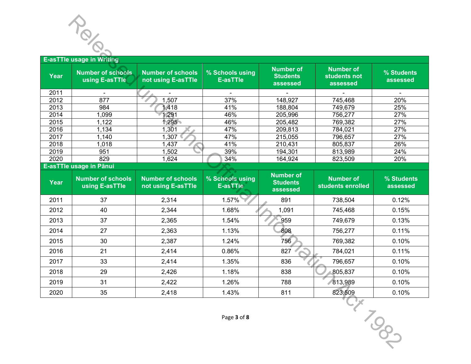

|              | $\mathscr{S}_{\infty}$                     |                                                |                                    |                                                 |                                              |                        |
|--------------|--------------------------------------------|------------------------------------------------|------------------------------------|-------------------------------------------------|----------------------------------------------|------------------------|
|              | <b>E-asTTle usage in Writing</b>           |                                                |                                    |                                                 |                                              |                        |
| Year         | <b>Number of schools</b><br>using E-asTTle | <b>Number of schools</b><br>not using E-asTTle | % Schools using<br><b>E-asTTle</b> | <b>Number of</b><br><b>Students</b><br>assessed | <b>Number of</b><br>students not<br>assessed | % Students<br>assessed |
| 2011         |                                            |                                                |                                    |                                                 |                                              |                        |
| 2012         | 877                                        | 1,507                                          | 37%                                | 148,927                                         | 745,468                                      | 20%                    |
| 2013         | 984                                        | 1,418                                          | 41%                                | 188,804                                         | 749,679                                      | 25%                    |
| 2014         | 1,099                                      | 1,291                                          | 46%                                | 205,996                                         | 756,277                                      | 27%                    |
| 2015         | 1,122                                      | ,295                                           | 46%                                | 205,482                                         | 769,382                                      | 27%                    |
| 2016<br>2017 | 1,134                                      | 1,301<br>1,307                                 | 47%<br>47%                         | 209,813                                         | 784,021                                      | 27%<br>27%             |
| 2018         | 1,140<br>1,018                             | 1,437                                          | 41%                                | 215,055<br>210,431                              | 796,657<br>805,837                           | 26%                    |
| 2019         | 951                                        | 1,502                                          | 39%                                | 194,301                                         | 813,989                                      | 24%                    |
| 2020         | 829                                        | 1,624                                          | 34%                                | 164,924                                         | 823,509                                      | 20%                    |
|              | E-asTTle usage in Pānui                    |                                                |                                    |                                                 |                                              |                        |
| Year         | <b>Number of schools</b><br>using E-asTTle | <b>Number of schools</b><br>not using E-asTTle | % Schools using<br><b>E-asTTie</b> | <b>Number of</b><br><b>Students</b><br>assessed | <b>Number of</b><br>students enrolled        | % Students<br>assessed |
| 2011         | 37                                         | 2,314                                          | 1.57%                              | 891                                             | 738,504                                      | 0.12%                  |
| 2012         | 40                                         | 2,344                                          | 1.68%                              | 1,091                                           | 745,468                                      | 0.15%                  |
| 2013         | 37                                         | 2,365                                          | 1.54%                              | 959                                             | 749,679                                      | 0.13%                  |
| 2014         | 27                                         | 2,363                                          | 1.13%                              | 808                                             | 756,277                                      | 0.11%                  |
| 2015         | 30                                         | 2,387                                          | 1.24%                              | 756                                             | 769,382                                      | 0.10%                  |
| 2016         | 21                                         | 2,414                                          | 0.86%                              | 827                                             | 784,021                                      | 0.11%                  |
| 2017         | 33                                         | 2,414                                          | 1.35%                              | 836                                             | 796,657                                      | 0.10%                  |
| 2018         | 29                                         | 2,426                                          | 1.18%                              | 838                                             | 805,837                                      | 0.10%                  |
| 2019         | 31                                         | 2,422                                          | 1.26%                              | 788                                             | 813,989                                      | 0.10%                  |
| 2020         | 35                                         | 2,418                                          | 1.43%                              | 811                                             | 823,509                                      | 0.10%                  |
|              |                                            |                                                | Page 3 of 8                        |                                                 |                                              | -170 <sub>00</sub>     |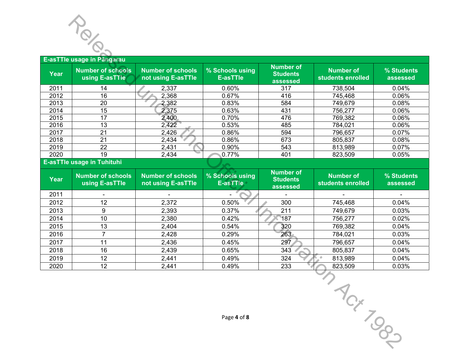

# **Year Number of schools using E-asTTle Number of schools not using E-asTTle % Schools using E-asTTle Number of Students assessed Number of students enrolled % Students assessed**  2011 14 2,337 0.60% 317 738,504 0.04% 2012 16 2,368 0.67% 416 745,468 0.06% 2013 20 2,382 0.83% 584 749,679 0.08% 2014 | 15 | 2,375 | 0.63% | 431 | 756,277 | 0.06% 2015 17 2,400 0.70% 476 769,382 0.06% 2016 13 2,422 0.53% 485 784,021 0.06% 2017 | 21 | 2,426 | 0.86% | 594 | 796,657 | 0.07% 2018 21 2,434 0.86% 673 805,837 0.08% 2019 22 2,431 0.90% 543 813,989 0.07% 2020 19 2,434 0.77% 401 823,509 0.05% **E-asTTle usage in Tuhituhi Year Number of schools using E-asTTle Number of schools not using E-asTTle % Schools using E-asTTle Number of Students assessed Number of students enrolled % Students assessed**  2011 **- Francisco Communication Communication** and the second communication of the second communication of the s 2012 12 2,372 0.50% 300 745,468 0.04% 2013 9 2,393 0.37% 211 749,679 0.03% 2014 10 2,380 0.42% 187 756,277 0.02% 2015 13 2,404 0.54% 320 769,382 0.04% 2016 7 2,428 0.29% 263 784,021 0.03% 2017 11 2,436 0.45% 297 796,657 0.04% 2018 16 2,439 0.65% 343 805,837 0.04% **Example 16 Fanginial Control Control Control Control Control Control Control Control Control Control Control Control Control Control Control Control Control Control Control Control Control Control Control Control Cont**

2019 | 12 | 2,441 | 0.49% | 324 *|* 813,989 | 0.04% 2020 12 2,441 0.49% 233 823,509 0.03%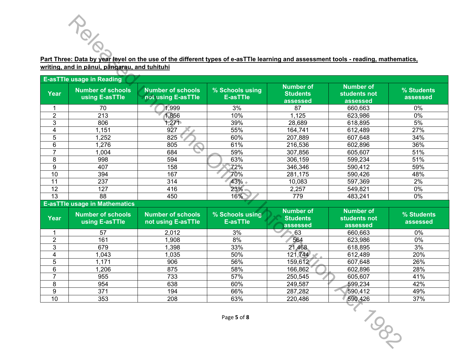### **Part Three: Data by year level on the use of the different types of e-asTTle learning and assessment tools - reading, mathematics, writing, and in pānui, pāngarau, and tuhituhi**

|                | Part Three: Data by year level on the use of the different types of e-asTTIe learning and assessment tools - reading, mathematics,<br>writing, and in pānui, pāngarau, and tuhituhi |                                                |                                    |                                                 |                                              |                        |
|----------------|-------------------------------------------------------------------------------------------------------------------------------------------------------------------------------------|------------------------------------------------|------------------------------------|-------------------------------------------------|----------------------------------------------|------------------------|
|                | <b>E-asTTle usage in Reading</b>                                                                                                                                                    |                                                |                                    |                                                 |                                              |                        |
| <b>Year</b>    | <b>Number of schools</b><br>using E-asTTle                                                                                                                                          | <b>Number of schools</b><br>not using E-asTTle | % Schools using<br><b>E-asTTle</b> | <b>Number of</b><br><b>Students</b><br>assessed | <b>Number of</b><br>students not<br>assessed | % Students<br>assessed |
| 1              | 70                                                                                                                                                                                  | 1,999                                          | 3%                                 | 87                                              | 660,663                                      | 0%                     |
| $\overline{c}$ | 213                                                                                                                                                                                 | 1,856                                          | 10%                                | 1,125                                           | 623,986                                      | 0%                     |
| 3              | 806                                                                                                                                                                                 | 1,271                                          | 39%                                | 28,689                                          | 618,895                                      | 5%                     |
| 4              | 1,151                                                                                                                                                                               | 927                                            | 55%                                | 164,741                                         | 612,489                                      | 27%                    |
| 5              | 1,252                                                                                                                                                                               | 825                                            | 60%                                | 207,889                                         | 607,648                                      | 34%                    |
| 6              | 1,276                                                                                                                                                                               | 805                                            | 61%                                | 216,536                                         | 602,896                                      | 36%                    |
| $\overline{7}$ | 1,004                                                                                                                                                                               | 684                                            | 59%                                | 307,856                                         | 605,607                                      | 51%                    |
| 8              | 998                                                                                                                                                                                 | 594                                            | 63%                                | 306,159                                         | 599,234                                      | 51%                    |
| 9              | 407                                                                                                                                                                                 | 158                                            | 72%                                | 346,346                                         | 590,412                                      | 59%                    |
| 10             | 394                                                                                                                                                                                 | 167                                            | 70%                                | 281,175                                         | 590,426                                      | 48%                    |
| 11             | 237                                                                                                                                                                                 | 314                                            | 43% +                              | 10,083                                          | 597,369                                      | 2%                     |
| 12             | 127                                                                                                                                                                                 | 416                                            | 23%                                | 2,257                                           | 549,821                                      | 0%                     |
| 13             | 88                                                                                                                                                                                  | 450                                            | 16%                                | 779                                             | 483,241                                      | 0%                     |
|                | <b>E-asTTle usage in Mathematics</b>                                                                                                                                                |                                                |                                    |                                                 |                                              |                        |
| <b>Year</b>    | <b>Number of schools</b><br>using E-asTTle                                                                                                                                          | <b>Number of schools</b><br>not using E-asTTle | % Schools using<br><b>E-asTTle</b> | <b>Number of</b><br><b>Students</b><br>assessed | <b>Number of</b><br>students not<br>assessed | % Students<br>assessed |
| 1              | 57                                                                                                                                                                                  | 2,012                                          | 3%                                 | 63                                              | 660,663                                      | 0%                     |
| $\overline{2}$ | 161                                                                                                                                                                                 | 1,908                                          | 8%                                 | 564                                             | 623,986                                      | 0%                     |
| 3              | 679                                                                                                                                                                                 | 1,398                                          | 33%                                | 21,468                                          | 618,895                                      | 3%                     |
| 4              | 1,043                                                                                                                                                                               | 1,035                                          | 50%                                | 121,744                                         | 612,489                                      | 20%                    |
| 5              | 1,171                                                                                                                                                                               | 906                                            | 56%                                | 159,612                                         | 607,648                                      | 26%                    |
| 6              | 1,206                                                                                                                                                                               | 875                                            | 58%                                | 166,862                                         | 602,896                                      | 28%                    |
| $\overline{7}$ | 955                                                                                                                                                                                 | 733                                            | 57%                                | 250,545                                         | 605,607                                      | 41%                    |
| 8              | 954                                                                                                                                                                                 | 638                                            | 60%                                | 249,587                                         | 599,234                                      | 42%                    |
| $\overline{9}$ | 371                                                                                                                                                                                 | 194                                            | 66%                                | 287,282                                         | 590,412                                      | 49%                    |
| 10             | 353                                                                                                                                                                                 | 208                                            | 63%                                | 220,486                                         | 590,426                                      | 37%                    |
|                |                                                                                                                                                                                     |                                                | Page 5 of 8                        |                                                 | <b>TOOS</b>                                  |                        |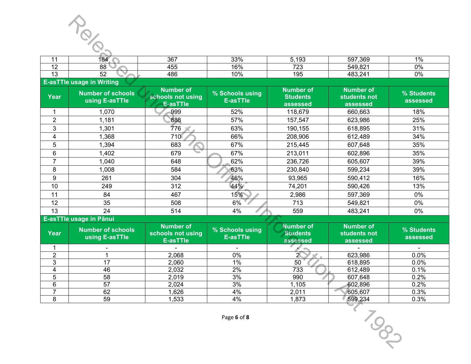

|                                    | 1ЯЛ.    | 367<br>JU        | 330 <sub>6</sub><br>JJ 70 | ⊿ ∧^<br>. U J | 597.369                    | $^{\circ}$ 0/         |
|------------------------------------|---------|------------------|---------------------------|---------------|----------------------------|-----------------------|
| $\overline{\phantom{a}}$<br>$\sim$ | 88      | $- -$<br>n<br>טי | 160/<br>$\mathbf{U}$ /(   | 700<br>. د ب  | 540.821<br>.uz             | $\Omega$ <sup>0</sup> |
| $\overline{\phantom{a}}$<br>ט ו    | --<br>ັ | 486              | 0%                        | QF<br>ົບ      | $\sim$ $\sim$ $\sim$<br>14 | 0%                    |

#### **E-asTTle usage in Writing**

|                     | TOLO                                       |                                                          |                                    |                                                 |                                              |                        |
|---------------------|--------------------------------------------|----------------------------------------------------------|------------------------------------|-------------------------------------------------|----------------------------------------------|------------------------|
| 11                  | 184                                        | 367                                                      | 33%                                | 5,193                                           | 597,369                                      | 1%                     |
| 12                  | 88                                         | 455                                                      | 16%                                | 723                                             | 549,821                                      | $0\%$                  |
| 13                  | 52                                         | 486                                                      | 10%                                | 195                                             | 483,241                                      | 0%                     |
|                     | <b>E-asTTle usage in Writing</b>           |                                                          |                                    |                                                 |                                              |                        |
| <b>Year</b>         | <b>Number of schools</b><br>using E-asTTle | <b>Number of</b><br>schools not using<br>E-asTTle        | % Schools using<br><b>E-asTTle</b> | <b>Number of</b><br><b>Students</b><br>assessed | <b>Number of</b><br>students not<br>assessed | % Students<br>assessed |
| 1                   | 1,070                                      | 999                                                      | 52%                                | 118,679                                         | 660,663                                      | 18%                    |
| $\overline{2}$      | 1,181                                      | 888                                                      | 57%                                | 157,547                                         | 623,986                                      | 25%                    |
| 3                   | 1,301                                      | 776<br>$\mathcal{R}$ .                                   | 63%                                | 190,155                                         | 618,895                                      | 31%                    |
| 4                   | 1,368                                      | 710                                                      | 66%                                | 208,906                                         | 612,489                                      | 34%                    |
| 5                   | 1,394                                      | 683                                                      | 67%                                | 215,445                                         | 607,648                                      | 35%                    |
| $6\phantom{1}6$     | 1,402                                      | 679                                                      | 67%                                | 213,011                                         | 602,896                                      | 35%                    |
| $\overline{7}$      | 1,040                                      | 648                                                      | 62%                                | 236,726                                         | 605,607                                      | 39%                    |
| 8                   | 1,008                                      | 584                                                      | 63%                                | 230,840                                         | 599,234                                      | 39%                    |
| 9                   | 261                                        | 304                                                      | 46%                                | 93,965                                          | 590,412                                      | 16%                    |
| 10                  | 249                                        | 312                                                      | 44%                                | 74,201                                          | 590,426                                      | 13%                    |
| 11                  | 84                                         | 467                                                      | 15%                                | 2,986                                           | 597,369                                      | 0%                     |
| 12                  | 35                                         | 508                                                      | 6%                                 | 713                                             | 549,821                                      | 0%                     |
| 13                  | 24                                         | 514                                                      | 4%                                 | 559                                             | 483,241                                      | 0%                     |
|                     | E-asTTle usage in Pānui                    |                                                          |                                    |                                                 |                                              |                        |
| <b>Year</b>         | <b>Number of schools</b><br>using E-asTTle | <b>Number of</b><br>schools not using<br><b>E-asTTle</b> | % Schools using<br><b>E-asTTle</b> | <b>Number of</b><br><b>Students</b><br>assessed | <b>Number of</b><br>students not<br>assessed | % Students<br>assessed |
| 1                   | $\overline{\phantom{a}}$                   |                                                          |                                    |                                                 |                                              |                        |
| $\overline{c}$      | 1                                          | 2,068                                                    | 0%                                 | $\overline{2}$                                  | 623,986                                      | 0.0%                   |
| 3                   | 17                                         | 2,060                                                    | 1%                                 | 50                                              | 618,895                                      | 0.0%                   |
| 4                   | 46                                         | 2,032                                                    | 2%                                 | 733                                             | 612,489                                      | 0.1%                   |
| 5                   | 58                                         | 2,019                                                    | 3%                                 | 990                                             | 607,648                                      | 0.2%                   |
| 6<br>$\overline{7}$ | 57<br>62                                   | 2,024<br>1,626                                           | 3%<br>4%                           | 1,105                                           | 602,896<br>605,607                           | 0.2%<br>0.3%           |
| $\,8\,$             | 59                                         | 1,533                                                    | 4%                                 | 2,011<br>1,873                                  | 599,234                                      | 0.3%                   |
|                     |                                            |                                                          | Page 6 of 8                        |                                                 | 1987                                         |                        |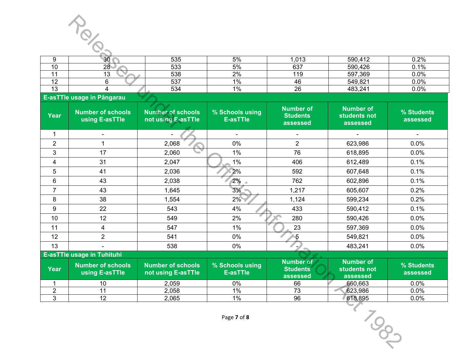

| 535<br>5%<br>590,412<br>.013<br>ഹ                             |      |
|---------------------------------------------------------------|------|
| vv                                                            | 0.2% |
| 533<br>637<br>590,426<br>5%<br>10<br>28 <sub>1</sub><br>טו    | 0.1% |
| 538<br>2%<br>597,369<br>119<br>د ا                            | 0.0% |
| $1\%$<br>549,821<br>537<br>$\overline{A}$<br>46<br>. <u>.</u> | 0.0% |
| 483,241<br>534<br>$\sqrt{2}$<br>$1\%$<br>0C<br>∠o<br>∪ו       | 0.0% |

#### **E-asTTle usage in Pāngarau**

| 9               | 30                                         | 535                                            | 5%                                 | 1,013                                           | 590,412                                      | 0.2%                   |
|-----------------|--------------------------------------------|------------------------------------------------|------------------------------------|-------------------------------------------------|----------------------------------------------|------------------------|
| 10              | 28 <sup>o</sup>                            | 533                                            | 5%                                 | 637                                             | 590,426                                      | 0.1%                   |
| 11              | 13                                         | 538                                            | 2%                                 | 119                                             | 597,369                                      | 0.0%                   |
| 12              | 6                                          | 537                                            | 1%                                 | 46                                              | 549,821                                      | 0.0%                   |
| $\overline{13}$ | 4                                          | 534                                            | $1\%$                              | $\overline{26}$                                 | 483,241                                      | 0.0%                   |
|                 | E-asTTle usage in Pāngarau                 |                                                |                                    |                                                 |                                              |                        |
| Year            | <b>Number of schools</b><br>using E-asTTle | <b>Number of schools</b><br>not using E-asTTle | % Schools using<br><b>E-asTTle</b> | <b>Number of</b><br><b>Students</b><br>assessed | <b>Number of</b><br>students not<br>assessed | % Students<br>assessed |
| $\mathbf{1}$    |                                            |                                                | $\overline{\phantom{0}}$           | $\overline{\phantom{a}}$                        |                                              |                        |
| $\overline{2}$  | $\mathbf{1}$                               | 2,068                                          | 0%                                 | $\overline{2}$                                  | 623,986                                      | 0.0%                   |
| 3               | 17                                         | 2,060                                          | 1%                                 | 76                                              | 618,895                                      | 0.0%                   |
| 4               | 31                                         | 2,047                                          | $1\%$                              | 406                                             | 612,489                                      | 0.1%                   |
| 5               | 41                                         | 2,036                                          | 2%                                 | 592                                             | 607,648                                      | 0.1%                   |
| 6               | 43                                         | 2,038                                          | 2%                                 | 762                                             | 602,896                                      | 0.1%                   |
| 7               | 43                                         | 1,645                                          | 3%                                 | 1,217                                           | 605,607                                      | 0.2%                   |
| 8               | 38                                         | 1,554                                          | 2%                                 | 1,124                                           | 599,234                                      | 0.2%                   |
| 9               | 22                                         | 543                                            | 4%                                 | 433                                             | 590,412                                      | 0.1%                   |
| 10              | 12                                         | 549                                            | 2%                                 | 280                                             | 590,426                                      | 0.0%                   |
| 11              | 4                                          | 547                                            | $1\%$                              | 23                                              | 597,369                                      | 0.0%                   |
| 12              | $\overline{2}$                             | 541                                            | 0%                                 | 5                                               | 549,821                                      | 0.0%                   |
| 13              |                                            | 538                                            | 0%                                 |                                                 | 483,241                                      | 0.0%                   |
|                 | <b>E-asTTle usage in Tuhituhi</b>          |                                                |                                    |                                                 |                                              |                        |
| Year            | <b>Number of schools</b><br>using E-asTTle | <b>Number of schools</b><br>not using E-asTTle | % Schools using<br><b>E-asTTle</b> | <b>Number of</b><br><b>Students</b><br>assessed | <b>Number of</b><br>students not<br>assessed | % Students<br>assessed |
| 1               | 10                                         | 2,059                                          | 0%                                 | 66                                              | 660,663                                      | $0.0\%$                |
| $\overline{2}$  | 11                                         | 2,058                                          | 1%                                 | 73                                              | 623,986                                      | 0.0%                   |
| $\overline{3}$  | 12                                         | 2,065                                          | $1\%$                              | 96                                              | 618,895                                      | 0.0%                   |
|                 |                                            |                                                | Page 7 of 8                        |                                                 | 1885                                         |                        |